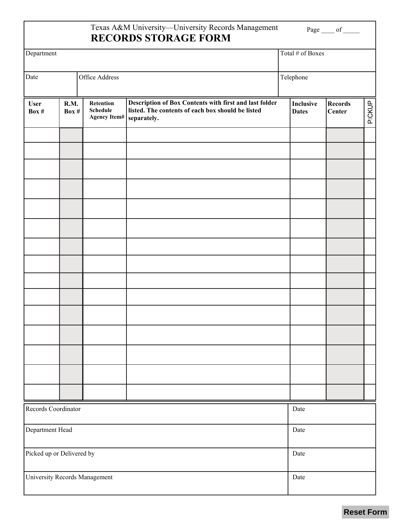## Texas A&M University—University Records Management **RECORDS STORAGE FORM**

| Department                    |                 |                                                     |                                                                                                                            | Total # of Boxes          |                   |        |  |
|-------------------------------|-----------------|-----------------------------------------------------|----------------------------------------------------------------------------------------------------------------------------|---------------------------|-------------------|--------|--|
| Date                          |                 | Office Address                                      |                                                                                                                            | Telephone                 |                   |        |  |
| <b>User</b><br>Box #          | R.M.<br>Box $#$ | Retention<br><b>Schedule</b><br><b>Agency Item#</b> | Description of Box Contents with first and last folder<br>listed. The contents of each box should be listed<br>separately. | Inclusive<br><b>Dates</b> | Records<br>Center | PICKUP |  |
|                               |                 |                                                     |                                                                                                                            |                           |                   |        |  |
|                               |                 |                                                     |                                                                                                                            |                           |                   |        |  |
|                               |                 |                                                     |                                                                                                                            |                           |                   |        |  |
|                               |                 |                                                     |                                                                                                                            |                           |                   |        |  |
|                               |                 |                                                     |                                                                                                                            |                           |                   |        |  |
|                               |                 |                                                     |                                                                                                                            |                           |                   |        |  |
|                               |                 |                                                     |                                                                                                                            |                           |                   |        |  |
|                               |                 |                                                     |                                                                                                                            |                           |                   |        |  |
|                               |                 |                                                     |                                                                                                                            |                           |                   |        |  |
|                               |                 |                                                     |                                                                                                                            |                           |                   |        |  |
|                               |                 |                                                     |                                                                                                                            |                           |                   |        |  |
|                               |                 |                                                     |                                                                                                                            |                           |                   |        |  |
|                               |                 |                                                     |                                                                                                                            |                           |                   |        |  |
|                               |                 |                                                     |                                                                                                                            |                           |                   |        |  |
|                               |                 |                                                     |                                                                                                                            |                           |                   |        |  |
| Records Coordinator           |                 |                                                     |                                                                                                                            | Date                      |                   |        |  |
| Department Head               |                 |                                                     |                                                                                                                            | Date                      |                   |        |  |
| Picked up or Delivered by     |                 |                                                     |                                                                                                                            | Date                      |                   |        |  |
| University Records Management |                 |                                                     |                                                                                                                            | Date                      |                   |        |  |